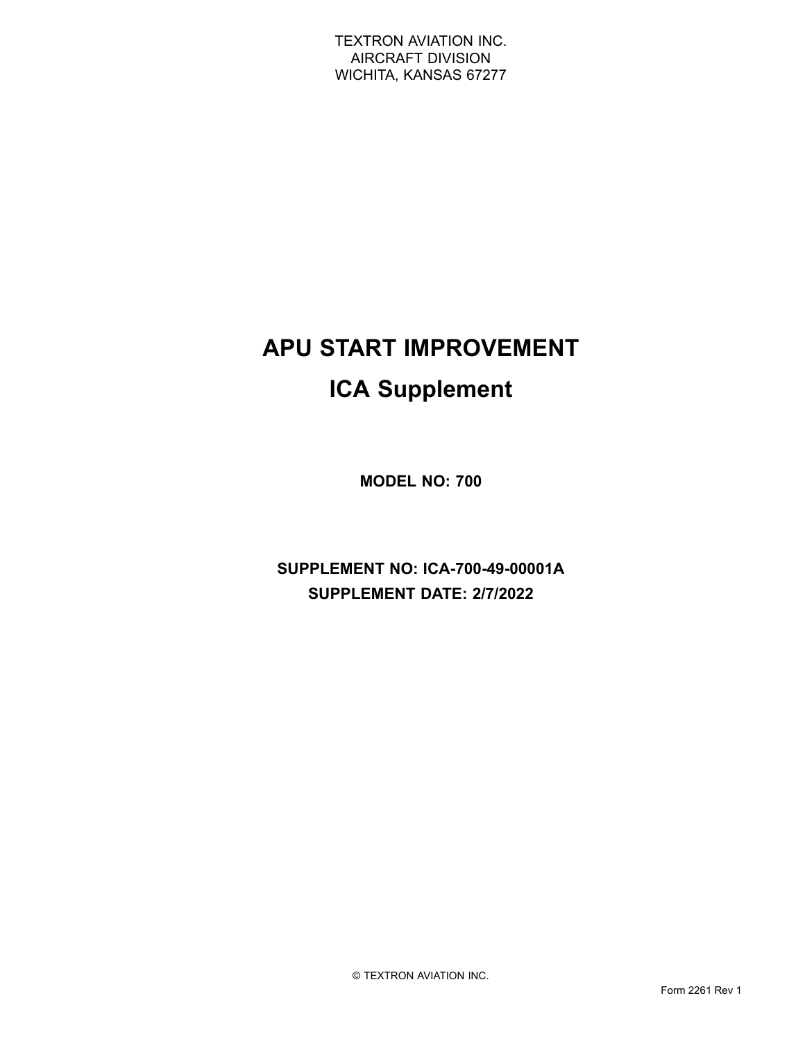# **APU START IMPROVEMENT ICA Supplement**

**MODEL NO: 700**

**SUPPLEMENT NO: ICA-700-49-00001A SUPPLEMENT DATE: 2/7/2022**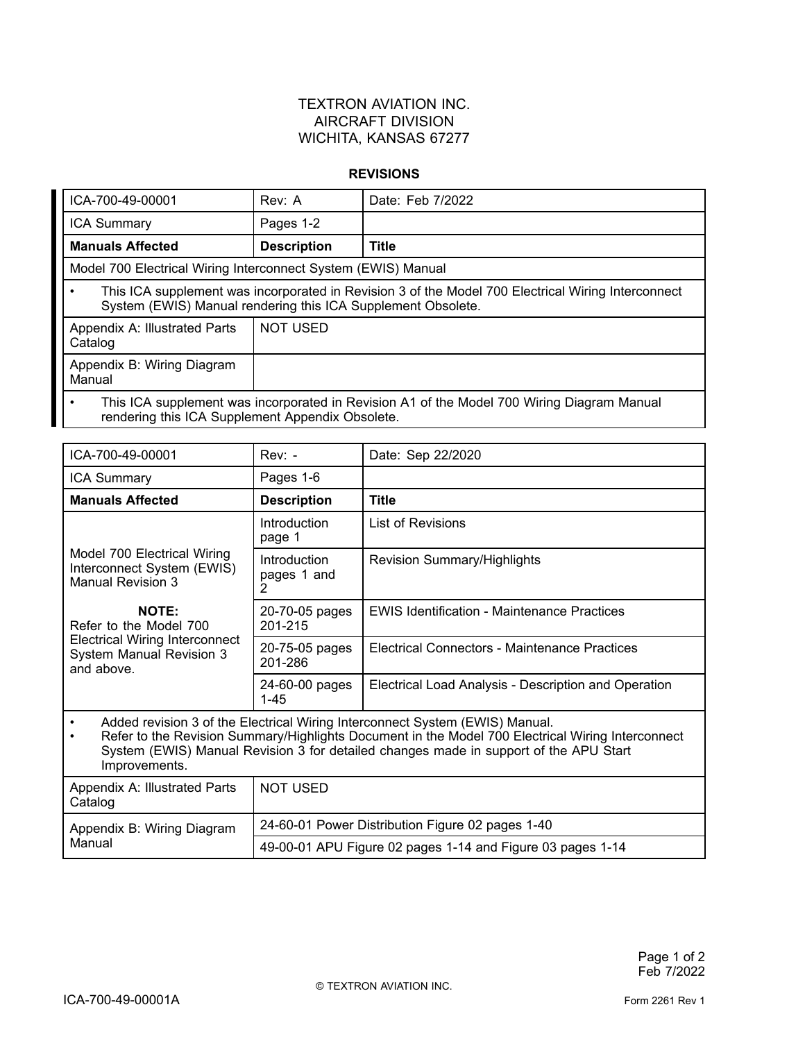#### **REVISIONS**

| ICA-700-49-00001                                                                                                                                                   | Rev: A             | Date: Feb 7/2022 |  |
|--------------------------------------------------------------------------------------------------------------------------------------------------------------------|--------------------|------------------|--|
| <b>ICA Summary</b>                                                                                                                                                 | Pages 1-2          |                  |  |
| <b>Manuals Affected</b>                                                                                                                                            | <b>Description</b> | <b>Title</b>     |  |
| Model 700 Electrical Wiring Interconnect System (EWIS) Manual                                                                                                      |                    |                  |  |
| This ICA supplement was incorporated in Revision 3 of the Model 700 Electrical Wiring Interconnect<br>System (EWIS) Manual rendering this ICA Supplement Obsolete. |                    |                  |  |
| Appendix A: Illustrated Parts<br>Catalog                                                                                                                           | <b>NOT USED</b>    |                  |  |
| Appendix B: Wiring Diagram<br>Manual                                                                                                                               |                    |                  |  |
| This ICA supplement was incorporated in Revision A1 of the Model 700 Wiring Diagram Manual<br>rendering this ICA Supplement Appendix Obsolete.                     |                    |                  |  |

| ICA-700-49-00001                                                                                                                                                                                                                                                                                         | $Rev: -$                                                   | Date: Sep 22/2020                                    |  |
|----------------------------------------------------------------------------------------------------------------------------------------------------------------------------------------------------------------------------------------------------------------------------------------------------------|------------------------------------------------------------|------------------------------------------------------|--|
| <b>ICA Summary</b>                                                                                                                                                                                                                                                                                       | Pages 1-6                                                  |                                                      |  |
| <b>Manuals Affected</b>                                                                                                                                                                                                                                                                                  | <b>Description</b>                                         | <b>Title</b>                                         |  |
|                                                                                                                                                                                                                                                                                                          | Introduction<br>page 1                                     | List of Revisions                                    |  |
| Model 700 Electrical Wiring<br>Interconnect System (EWIS)<br><b>Manual Revision 3</b>                                                                                                                                                                                                                    | Introduction<br>pages 1 and<br>2                           | <b>Revision Summary/Highlights</b>                   |  |
| <b>NOTE:</b><br>Refer to the Model 700<br><b>Electrical Wiring Interconnect</b><br><b>System Manual Revision 3</b><br>and above.                                                                                                                                                                         | 20-70-05 pages<br>201-215                                  | <b>EWIS Identification - Maintenance Practices</b>   |  |
|                                                                                                                                                                                                                                                                                                          | 20-75-05 pages<br>201-286                                  | Electrical Connectors - Maintenance Practices        |  |
|                                                                                                                                                                                                                                                                                                          | 24-60-00 pages<br>$1 - 45$                                 | Electrical Load Analysis - Description and Operation |  |
| Added revision 3 of the Electrical Wiring Interconnect System (EWIS) Manual.<br>$\bullet$<br>Refer to the Revision Summary/Highlights Document in the Model 700 Electrical Wiring Interconnect<br>System (EWIS) Manual Revision 3 for detailed changes made in support of the APU Start<br>Improvements. |                                                            |                                                      |  |
| Appendix A: Illustrated Parts<br>Catalog                                                                                                                                                                                                                                                                 | <b>NOT USED</b>                                            |                                                      |  |
| Appendix B: Wiring Diagram<br>Manual                                                                                                                                                                                                                                                                     | 24-60-01 Power Distribution Figure 02 pages 1-40           |                                                      |  |
|                                                                                                                                                                                                                                                                                                          | 49-00-01 APU Figure 02 pages 1-14 and Figure 03 pages 1-14 |                                                      |  |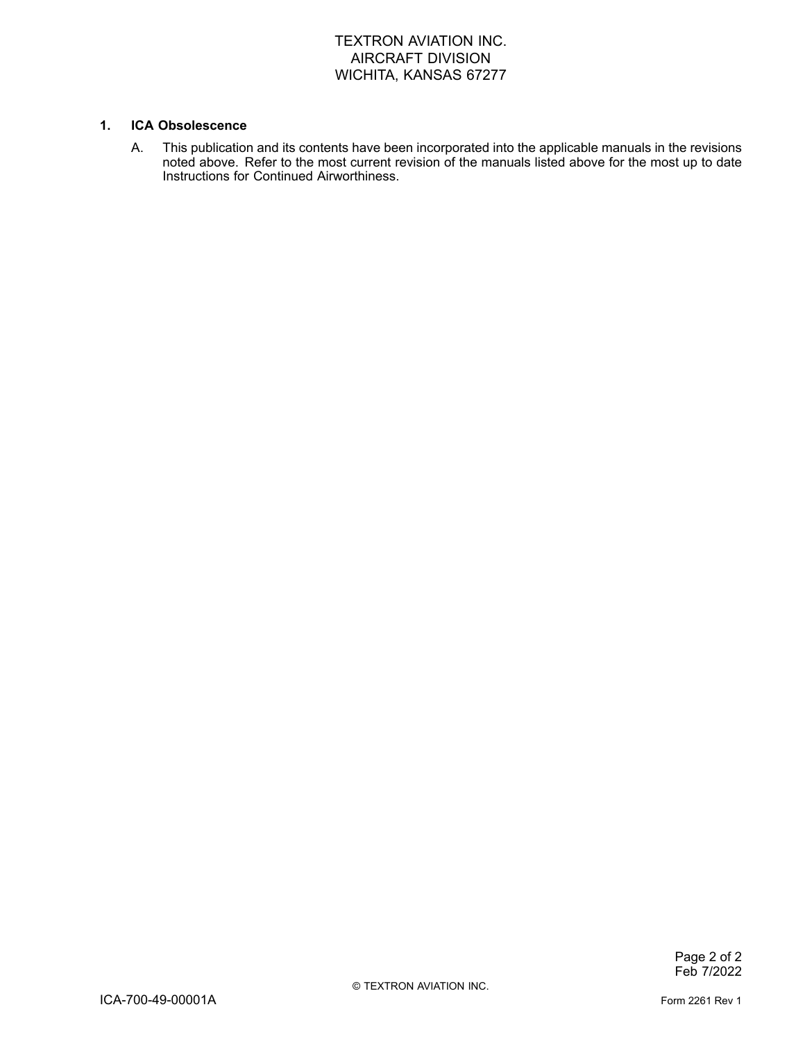#### **1. ICA Obsolescence**

A. This publication and its contents have been incorporated into the applicable manuals in the revisions noted above. Refer to the most current revision of the manuals listed above for the most up to date Instructions for Continued Airworthiness.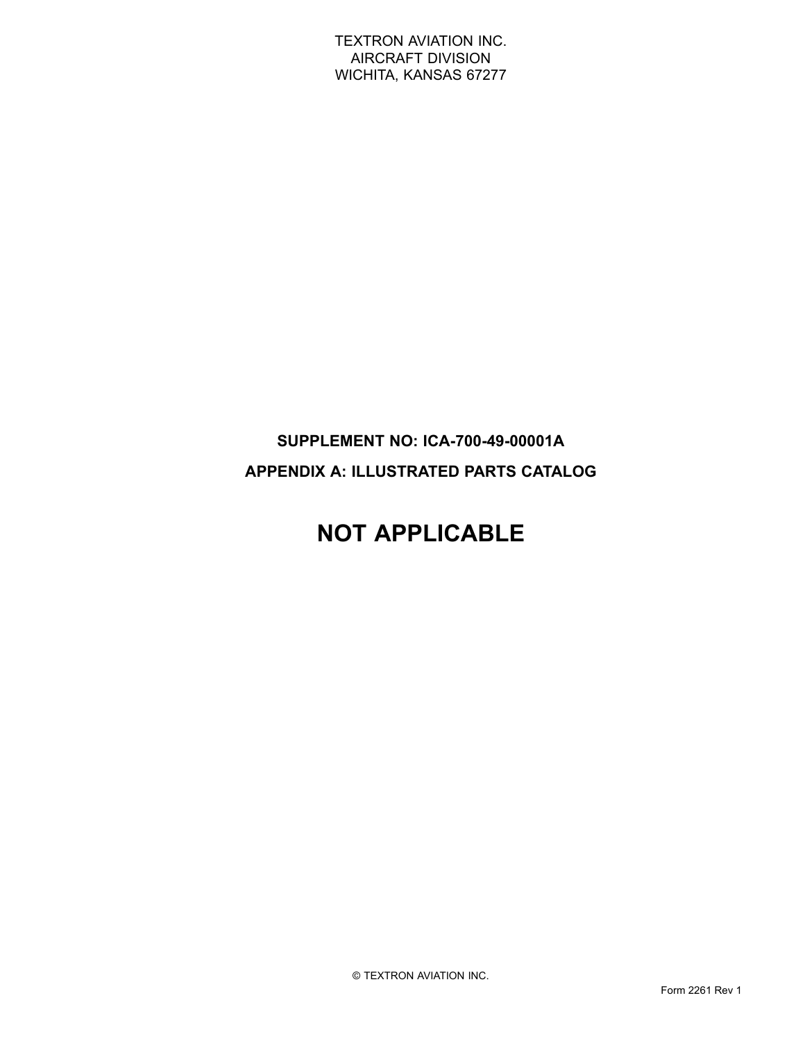## **SUPPLEMENT NO: ICA-700-49-00001A APPENDIX A: ILLUSTRATED PARTS CATALOG**

# **NOT APPLICABLE**